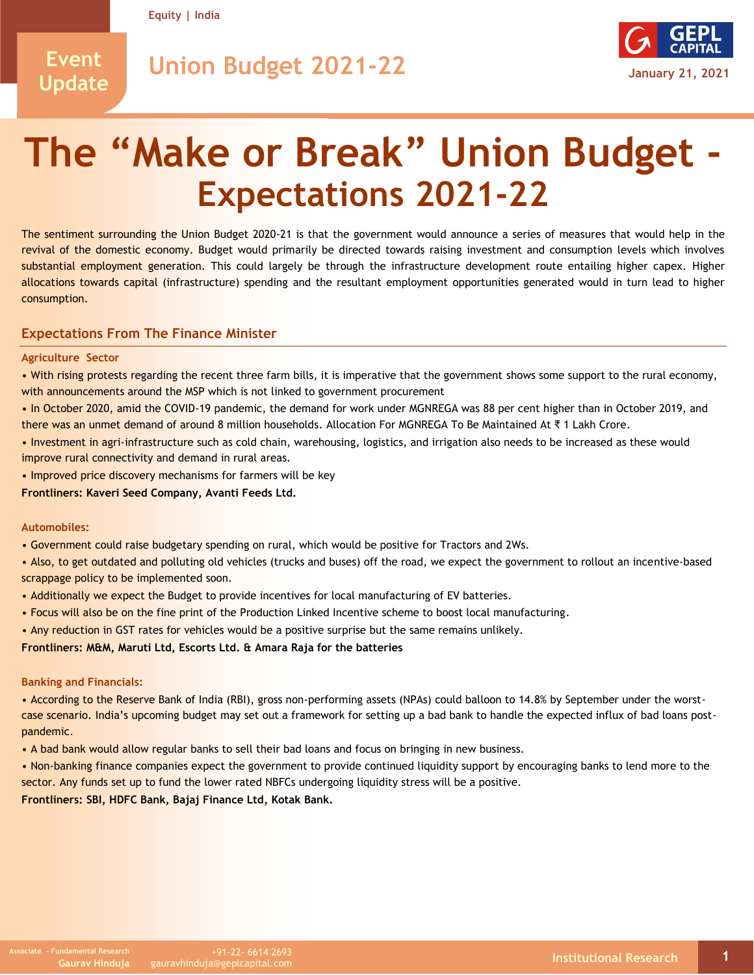**Equity | India**

# **Event Update**

**Union Budget 2021-22 January 21, 2021**



# **The "Make or Break" Union Budget - Expectations 2021-22**

The sentiment surrounding the Union Budget 2020-21 is that the government would announce a series of measures that would help in the revival of the domestic economy. Budget would primarily be directed towards raising investment and consumption levels which involves substantial employment generation. This could largely be through the infrastructure development route entailing higher capex. Higher allocations towards capital (infrastructure) spending and the resultant employment opportunities generated would in turn lead to higher consumption.

## **Expectations From The Finance Minister**

#### **Agriculture Sector**

• With rising protests regarding the recent three farm bills, it is imperative that the government shows some support to the rural economy, with announcements around the MSP which is not linked to government procurement

• In October 2020, amid the COVID-19 pandemic, the demand for work under MGNREGA was 88 per cent higher than in October 2019, and there was an unmet demand of around 8 million households. Allocation For MGNREGA To Be Maintained At ₹1 Lakh Crore.

• Investment in agri-infrastructure such as cold chain, warehousing, logistics, and irrigation also needs to be increased as these would improve rural connectivity and demand in rural areas.

• Improved price discovery mechanisms for farmers will be key

**Frontliners: Kaveri Seed Company, Avanti Feeds Ltd.**

#### **Automobiles:**

• Government could raise budgetary spending on rural, which would be positive for Tractors and 2Ws.

• Also, to get outdated and polluting old vehicles (trucks and buses) off the road, we expect the government to rollout an incentive-based scrappage policy to be implemented soon.

- Additionally we expect the Budget to provide incentives for local manufacturing of EV batteries.
- Focus will also be on the fine print of the Production Linked Incentive scheme to boost local manufacturing.

• Any reduction in GST rates for vehicles would be a positive surprise but the same remains unlikely.

**Frontliners: M&M, Maruti Ltd, Escorts Ltd. & Amara Raja for the batteries**

#### **Banking and Financials:**

• According to the Reserve Bank of India (RBI), gross non-performing assets (NPAs) could balloon to 14.8% by September under the worstcase scenario. India's upcoming budget may set out a framework for setting up a bad bank to handle the expected influx of bad loans postpandemic.

• A bad bank would allow regular banks to sell their bad loans and focus on bringing in new business.

• Non-banking finance companies expect the government to provide continued liquidity support by encouraging banks to lend more to the sector. Any funds set up to fund the lower rated NBFCs undergoing liquidity stress will be a positive.

**Frontliners: SBI, HDFC Bank, Bajaj Finance Ltd, Kotak Bank.**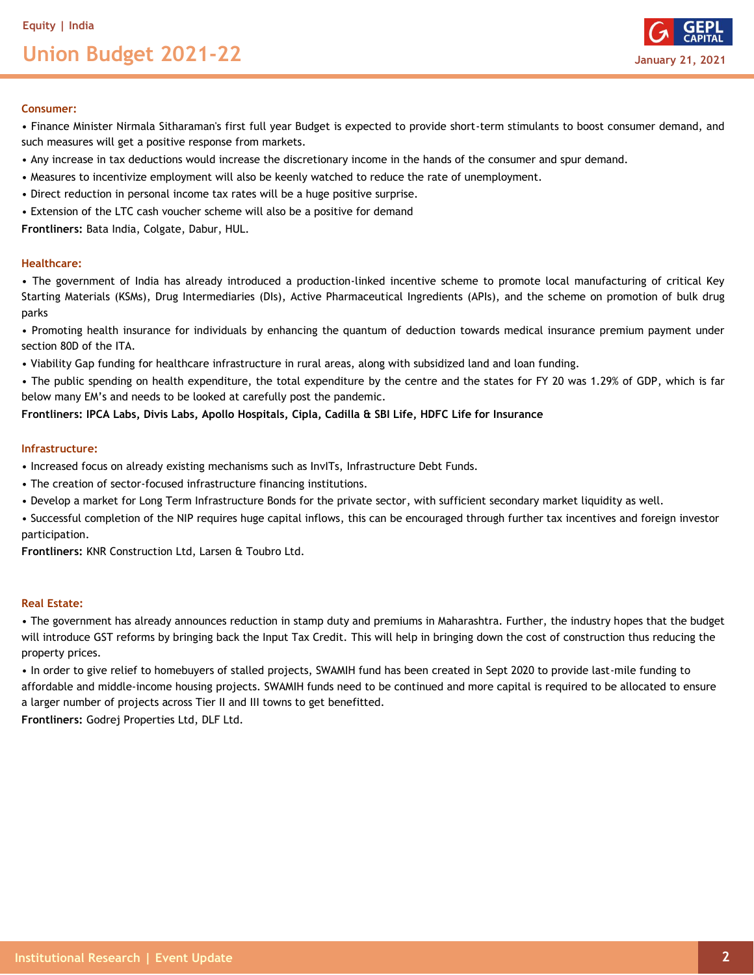# **Union Budget 2021-22 January 21, 2021**



#### **Consumer:**

• Finance Minister Nirmala Sitharaman's first full year Budget is expected to provide short-term stimulants to boost consumer demand, and such measures will get a positive response from markets.

- Any increase in tax deductions would increase the discretionary income in the hands of the consumer and spur demand.
- Measures to incentivize employment will also be keenly watched to reduce the rate of unemployment.
- Direct reduction in personal income tax rates will be a huge positive surprise.
- Extension of the LTC cash voucher scheme will also be a positive for demand

**Frontliners:** Bata India, Colgate, Dabur, HUL.

#### **Healthcare:**

• The government of India has already introduced a production-linked incentive scheme to promote local manufacturing of critical Key Starting Materials (KSMs), Drug Intermediaries (DIs), Active Pharmaceutical Ingredients (APIs), and the scheme on promotion of bulk drug parks

• Promoting health insurance for individuals by enhancing the quantum of deduction towards medical insurance premium payment under section 80D of the ITA.

• Viability Gap funding for healthcare infrastructure in rural areas, along with subsidized land and loan funding.

• The public spending on health expenditure, the total expenditure by the centre and the states for FY 20 was 1.29% of GDP, which is far below many EM's and needs to be looked at carefully post the pandemic.

#### **Frontliners: IPCA Labs, Divis Labs, Apollo Hospitals, Cipla, Cadilla & SBI Life, HDFC Life for Insurance**

#### **Infrastructure:**

- Increased focus on already existing mechanisms such as InvITs, Infrastructure Debt Funds.
- The creation of sector-focused infrastructure financing institutions.
- Develop a market for Long Term Infrastructure Bonds for the private sector, with sufficient secondary market liquidity as well.

• Successful completion of the NIP requires huge capital inflows, this can be encouraged through further tax incentives and foreign investor participation.

**Frontliners:** KNR Construction Ltd, Larsen & Toubro Ltd.

### **Real Estate:**

• The government has already announces reduction in stamp duty and premiums in Maharashtra. Further, the industry hopes that the budget will introduce GST reforms by bringing back the Input Tax Credit. This will help in bringing down the cost of construction thus reducing the property prices.

• In order to give relief to homebuyers of stalled projects, SWAMIH fund has been created in Sept 2020 to provide last-mile funding to affordable and middle-income housing projects. SWAMIH funds need to be continued and more capital is required to be allocated to ensure a larger number of projects across Tier II and III towns to get benefitted.

**Frontliners:** Godrej Properties Ltd, DLF Ltd.